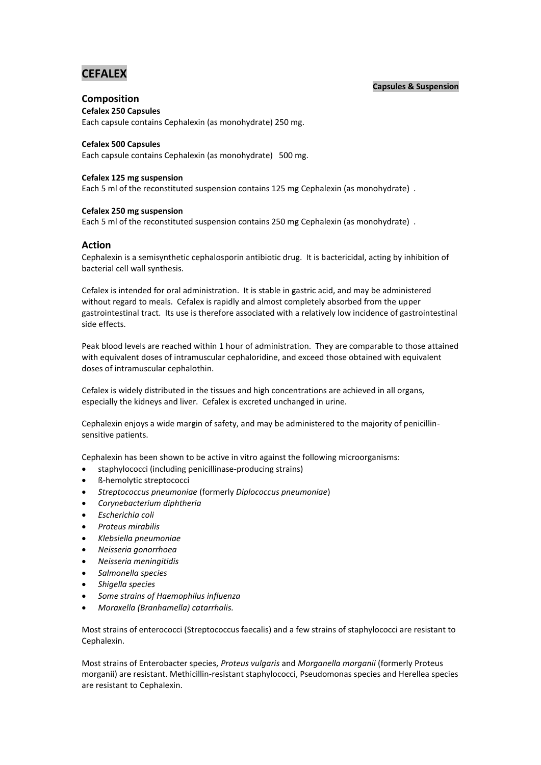# **CEFALEX**

# **Capsules & Suspension**

# **Composition**

# **Cefalex 250 Capsules**

Each capsule contains Cephalexin (as monohydrate) 250 mg.

# **Cefalex 500 Capsules**

Each capsule contains Cephalexin (as monohydrate) 500 mg.

# **Cefalex 125 mg suspension**

Each 5 ml of the reconstituted suspension contains 125 mg Cephalexin (as monohydrate) .

# **Cefalex 250 mg suspension**

Each 5 ml of the reconstituted suspension contains 250 mg Cephalexin (as monohydrate) .

# **Action**

Cephalexin is a semisynthetic cephalosporin antibiotic drug. It is bactericidal, acting by inhibition of bacterial cell wall synthesis.

Cefalex is intended for oral administration. It is stable in gastric acid, and may be administered without regard to meals. Cefalex is rapidly and almost completely absorbed from the upper gastrointestinal tract. Its use is therefore associated with a relatively low incidence of gastrointestinal side effects.

Peak blood levels are reached within 1 hour of administration. They are comparable to those attained with equivalent doses of intramuscular cephaloridine, and exceed those obtained with equivalent doses of intramuscular cephalothin.

Cefalex is widely distributed in the tissues and high concentrations are achieved in all organs, especially the kidneys and liver. Cefalex is excreted unchanged in urine.

Cephalexin enjoys a wide margin of safety, and may be administered to the majority of penicillinsensitive patients.

Cephalexin has been shown to be active in vitro against the following microorganisms:

- staphylococci (including penicillinase-producing strains)
- ß-hemolytic streptococci
- *Streptococcus pneumoniae* (formerly *Diplococcus pneumoniae*)
- *Corynebacterium diphtheria*
- *Escherichia coli*
- *Proteus mirabilis*
- *Klebsiella pneumoniae*
- *Neisseria gonorrhoea*
- *Neisseria meningitidis*
- *Salmonella species*
- *Shigella species*
- *Some strains of Haemophilus influenza*
- *Moraxella (Branhamella) catarrhalis.*

Most strains of enterococci (Streptococcus faecalis) and a few strains of staphylococci are resistant to Cephalexin.

Most strains of Enterobacter species, *Proteus vulgaris* and *Morganella morganii* (formerly Proteus morganii) are resistant. Methicillin-resistant staphylococci, Pseudomonas species and Herellea species are resistant to Cephalexin.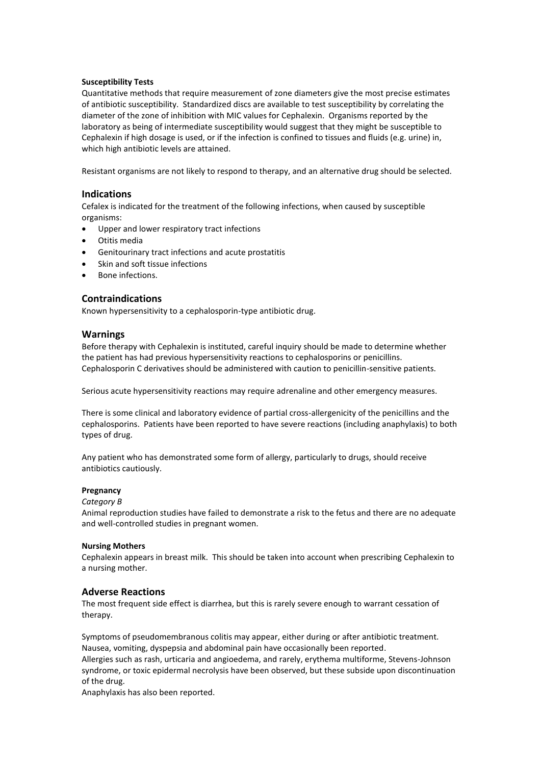# **Susceptibility Tests**

Quantitative methods that require measurement of zone diameters give the most precise estimates of antibiotic susceptibility. Standardized discs are available to test susceptibility by correlating the diameter of the zone of inhibition with MIC values for Cephalexin. Organisms reported by the laboratory as being of intermediate susceptibility would suggest that they might be susceptible to Cephalexin if high dosage is used, or if the infection is confined to tissues and fluids (e.g. urine) in, which high antibiotic levels are attained.

Resistant organisms are not likely to respond to therapy, and an alternative drug should be selected.

# **Indications**

Cefalex is indicated for the treatment of the following infections, when caused by susceptible organisms:

- Upper and lower respiratory tract infections
- Otitis media
- Genitourinary tract infections and acute prostatitis
- Skin and soft tissue infections
- Bone infections.

# **Contraindications**

Known hypersensitivity to a cephalosporin-type antibiotic drug.

## **Warnings**

Before therapy with Cephalexin is instituted, careful inquiry should be made to determine whether the patient has had previous hypersensitivity reactions to cephalosporins or penicillins. Cephalosporin C derivatives should be administered with caution to penicillin-sensitive patients.

Serious acute hypersensitivity reactions may require adrenaline and other emergency measures.

There is some clinical and laboratory evidence of partial cross-allergenicity of the penicillins and the cephalosporins. Patients have been reported to have severe reactions (including anaphylaxis) to both types of drug.

Any patient who has demonstrated some form of allergy, particularly to drugs, should receive antibiotics cautiously.

## **Pregnancy**

#### *Category B*

Animal reproduction studies have failed to demonstrate a risk to the fetus and there are no adequate and well-controlled studies in pregnant women.

#### **Nursing Mothers**

Cephalexin appears in breast milk. This should be taken into account when prescribing Cephalexin to a nursing mother.

# **Adverse Reactions**

The most frequent side effect is diarrhea, but this is rarely severe enough to warrant cessation of therapy.

Symptoms of pseudomembranous colitis may appear, either during or after antibiotic treatment. Nausea, vomiting, dyspepsia and abdominal pain have occasionally been reported.

Allergies such as rash, urticaria and angioedema, and rarely, erythema multiforme, Stevens-Johnson syndrome, or toxic epidermal necrolysis have been observed, but these subside upon discontinuation of the drug.

Anaphylaxis has also been reported.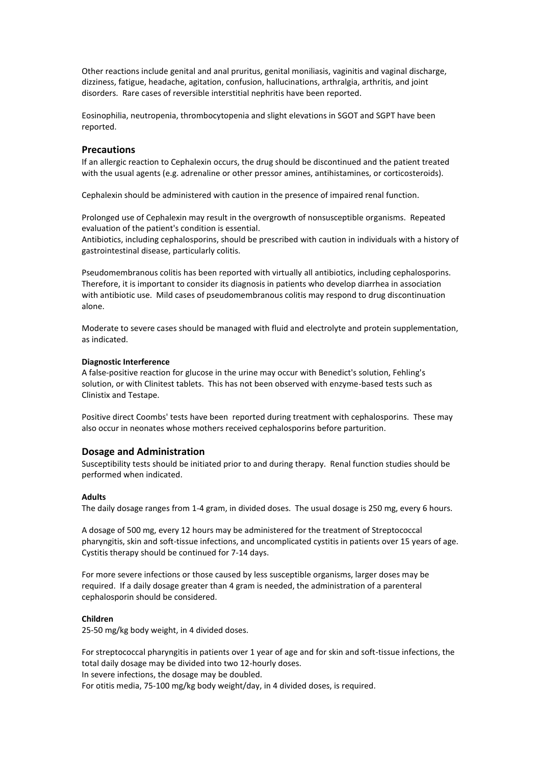Other reactions include genital and anal pruritus, genital moniliasis, vaginitis and vaginal discharge, dizziness, fatigue, headache, agitation, confusion, hallucinations, arthralgia, arthritis, and joint disorders. Rare cases of reversible interstitial nephritis have been reported.

Eosinophilia, neutropenia, thrombocytopenia and slight elevations in SGOT and SGPT have been reported.

# **Precautions**

If an allergic reaction to Cephalexin occurs, the drug should be discontinued and the patient treated with the usual agents (e.g. adrenaline or other pressor amines, antihistamines, or corticosteroids).

Cephalexin should be administered with caution in the presence of impaired renal function.

Prolonged use of Cephalexin may result in the overgrowth of nonsusceptible organisms. Repeated evaluation of the patient's condition is essential.

Antibiotics, including cephalosporins, should be prescribed with caution in individuals with a history of gastrointestinal disease, particularly colitis.

Pseudomembranous colitis has been reported with virtually all antibiotics, including cephalosporins. Therefore, it is important to consider its diagnosis in patients who develop diarrhea in association with antibiotic use. Mild cases of pseudomembranous colitis may respond to drug discontinuation alone.

Moderate to severe cases should be managed with fluid and electrolyte and protein supplementation, as indicated.

#### **Diagnostic Interference**

A false-positive reaction for glucose in the urine may occur with Benedict's solution, Fehling's solution, or with Clinitest tablets. This has not been observed with enzyme-based tests such as Clinistix and Testape.

Positive direct Coombs' tests have been reported during treatment with cephalosporins. These may also occur in neonates whose mothers received cephalosporins before parturition.

# **Dosage and Administration**

Susceptibility tests should be initiated prior to and during therapy. Renal function studies should be performed when indicated.

#### **Adults**

The daily dosage ranges from 1-4 gram, in divided doses. The usual dosage is 250 mg, every 6 hours.

A dosage of 500 mg, every 12 hours may be administered for the treatment of Streptococcal pharyngitis, skin and soft-tissue infections, and uncomplicated cystitis in patients over 15 years of age. Cystitis therapy should be continued for 7-14 days.

For more severe infections or those caused by less susceptible organisms, larger doses may be required. If a daily dosage greater than 4 gram is needed, the administration of a parenteral cephalosporin should be considered.

#### **Children**

25-50 mg/kg body weight, in 4 divided doses.

For streptococcal pharyngitis in patients over 1 year of age and for skin and soft-tissue infections, the total daily dosage may be divided into two 12-hourly doses.

In severe infections, the dosage may be doubled.

For otitis media, 75-100 mg/kg body weight/day, in 4 divided doses, is required.